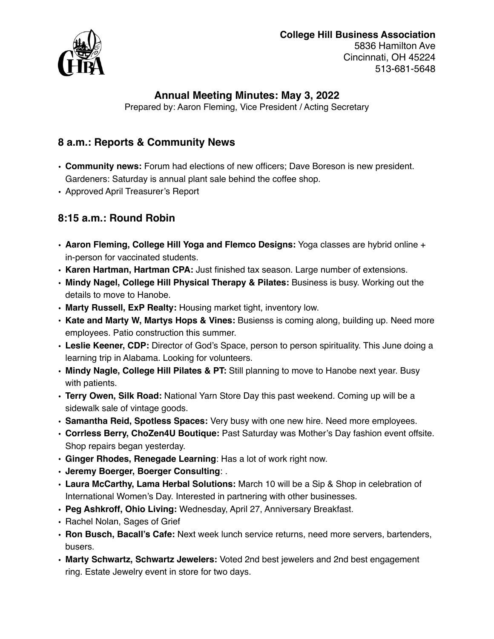# **College Hill Business Association**



5836 Hamilton Ave Cincinnati, OH 45224 513-681-5648

#### **Annual Meeting Minutes: May 3, 2022**

Prepared by: Aaron Fleming, Vice President / Acting Secretary

#### **8 a.m.: Reports & Community News**

- **Community news:** Forum had elections of new officers; Dave Boreson is new president. Gardeners: Saturday is annual plant sale behind the coffee shop.
- Approved April Treasurer's Report

## **8:15 a.m.: Round Robin**

- **Aaron Fleming, College Hill Yoga and Flemco Designs:** Yoga classes are hybrid online + in-person for vaccinated students.
- **Karen Hartman, Hartman CPA:** Just finished tax season. Large number of extensions.
- **Mindy Nagel, College Hill Physical Therapy & Pilates:** Business is busy. Working out the details to move to Hanobe.
- **Marty Russell, ExP Realty:** Housing market tight, inventory low.
- **Kate and Marty W, Martys Hops & Vines:** Busienss is coming along, building up. Need more employees. Patio construction this summer.
- **Leslie Keener, CDP:** Director of God's Space, person to person spirituality. This June doing a learning trip in Alabama. Looking for volunteers.
- **Mindy Nagle, College Hill Pilates & PT:** Still planning to move to Hanobe next year. Busy with patients.
- **Terry Owen, Silk Road:** National Yarn Store Day this past weekend. Coming up will be a sidewalk sale of vintage goods.
- **Samantha Reid, Spotless Spaces:** Very busy with one new hire. Need more employees.
- **Corrless Berry, ChoZen4U Boutique:** Past Saturday was Mother's Day fashion event offsite. Shop repairs began yesterday.
- **Ginger Rhodes, Renegade Learning**: Has a lot of work right now.
- **Jeremy Boerger, Boerger Consulting**: .
- **• Laura McCarthy, Lama Herbal Solutions:** March 10 will be a Sip & Shop in celebration of International Women's Day. Interested in partnering with other businesses.
- **• Peg Ashkroff, Ohio Living:** Wednesday, April 27, Anniversary Breakfast.
- **•** Rachel Nolan, Sages of Grief
- **• Ron Busch, Bacall's Cafe:** Next week lunch service returns, need more servers, bartenders, busers.
- **• Marty Schwartz, Schwartz Jewelers:** Voted 2nd best jewelers and 2nd best engagement ring. Estate Jewelry event in store for two days.